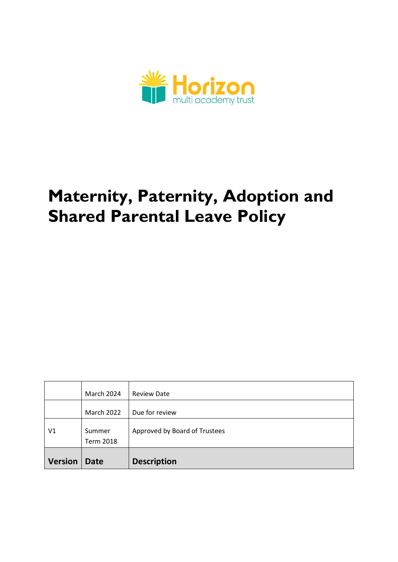

# **Maternity, Paternity, Adoption and Shared Parental Leave Policy**

|                | March 2024                 | <b>Review Date</b>            |
|----------------|----------------------------|-------------------------------|
|                | March 2022                 | Due for review                |
| V <sub>1</sub> | Summer<br><b>Term 2018</b> | Approved by Board of Trustees |
| <b>Version</b> | <b>Date</b>                | <b>Description</b>            |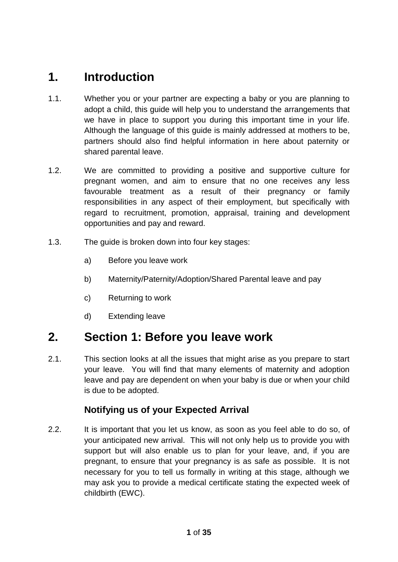## **1. Introduction**

- 1.1. Whether you or your partner are expecting a baby or you are planning to adopt a child, this guide will help you to understand the arrangements that we have in place to support you during this important time in your life. Although the language of this guide is mainly addressed at mothers to be, partners should also find helpful information in here about paternity or shared parental leave.
- 1.2. We are committed to providing a positive and supportive culture for pregnant women, and aim to ensure that no one receives any less favourable treatment as a result of their pregnancy or family responsibilities in any aspect of their employment, but specifically with regard to recruitment, promotion, appraisal, training and development opportunities and pay and reward.
- 1.3. The guide is broken down into four key stages:
	- a) Before you leave work
	- b) Maternity/Paternity/Adoption/Shared Parental leave and pay
	- c) Returning to work
	- d) Extending leave

## **2. Section 1: Before you leave work**

2.1. This section looks at all the issues that might arise as you prepare to start your leave. You will find that many elements of maternity and adoption leave and pay are dependent on when your baby is due or when your child is due to be adopted.

## **Notifying us of your Expected Arrival**

2.2. It is important that you let us know, as soon as you feel able to do so, of your anticipated new arrival. This will not only help us to provide you with support but will also enable us to plan for your leave, and, if you are pregnant, to ensure that your pregnancy is as safe as possible. It is not necessary for you to tell us formally in writing at this stage, although we may ask you to provide a medical certificate stating the expected week of childbirth (EWC).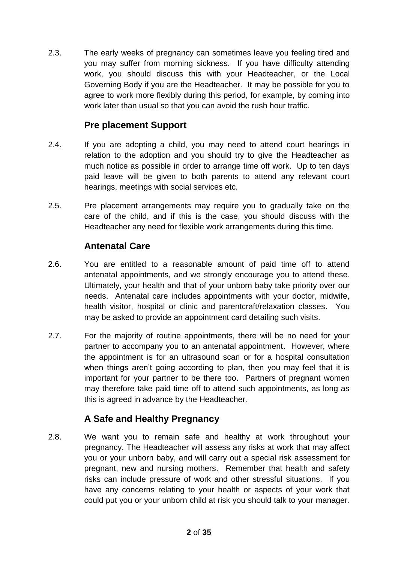2.3. The early weeks of pregnancy can sometimes leave you feeling tired and you may suffer from morning sickness. If you have difficulty attending work, you should discuss this with your Headteacher, or the Local Governing Body if you are the Headteacher. It may be possible for you to agree to work more flexibly during this period, for example, by coming into work later than usual so that you can avoid the rush hour traffic.

## **Pre placement Support**

- 2.4. If you are adopting a child, you may need to attend court hearings in relation to the adoption and you should try to give the Headteacher as much notice as possible in order to arrange time off work. Up to ten days paid leave will be given to both parents to attend any relevant court hearings, meetings with social services etc.
- 2.5. Pre placement arrangements may require you to gradually take on the care of the child, and if this is the case, you should discuss with the Headteacher any need for flexible work arrangements during this time.

## **Antenatal Care**

- 2.6. You are entitled to a reasonable amount of paid time off to attend antenatal appointments, and we strongly encourage you to attend these. Ultimately, your health and that of your unborn baby take priority over our needs. Antenatal care includes appointments with your doctor, midwife, health visitor, hospital or clinic and parentcraft/relaxation classes. You may be asked to provide an appointment card detailing such visits.
- 2.7. For the majority of routine appointments, there will be no need for your partner to accompany you to an antenatal appointment. However, where the appointment is for an ultrasound scan or for a hospital consultation when things aren't going according to plan, then you may feel that it is important for your partner to be there too. Partners of pregnant women may therefore take paid time off to attend such appointments, as long as this is agreed in advance by the Headteacher.

## **A Safe and Healthy Pregnancy**

2.8. We want you to remain safe and healthy at work throughout your pregnancy. The Headteacher will assess any risks at work that may affect you or your unborn baby, and will carry out a special risk assessment for pregnant, new and nursing mothers. Remember that health and safety risks can include pressure of work and other stressful situations. If you have any concerns relating to your health or aspects of your work that could put you or your unborn child at risk you should talk to your manager.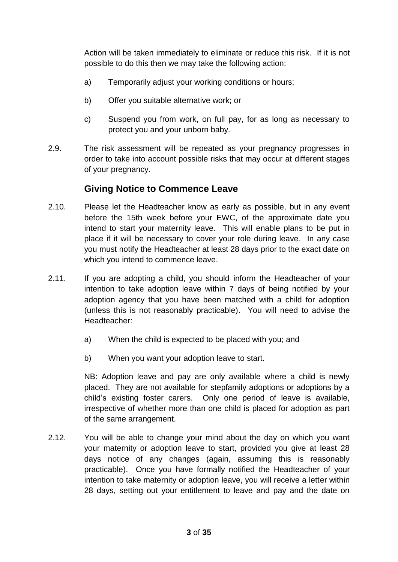Action will be taken immediately to eliminate or reduce this risk. If it is not possible to do this then we may take the following action:

- a) Temporarily adjust your working conditions or hours;
- b) Offer you suitable alternative work; or
- c) Suspend you from work, on full pay, for as long as necessary to protect you and your unborn baby.
- 2.9. The risk assessment will be repeated as your pregnancy progresses in order to take into account possible risks that may occur at different stages of your pregnancy.

## **Giving Notice to Commence Leave**

- 2.10. Please let the Headteacher know as early as possible, but in any event before the 15th week before your EWC, of the approximate date you intend to start your maternity leave. This will enable plans to be put in place if it will be necessary to cover your role during leave. In any case you must notify the Headteacher at least 28 days prior to the exact date on which you intend to commence leave.
- 2.11. If you are adopting a child, you should inform the Headteacher of your intention to take adoption leave within 7 days of being notified by your adoption agency that you have been matched with a child for adoption (unless this is not reasonably practicable). You will need to advise the Headteacher:
	- a) When the child is expected to be placed with you; and
	- b) When you want your adoption leave to start.

NB: Adoption leave and pay are only available where a child is newly placed. They are not available for stepfamily adoptions or adoptions by a child's existing foster carers. Only one period of leave is available, irrespective of whether more than one child is placed for adoption as part of the same arrangement.

2.12. You will be able to change your mind about the day on which you want your maternity or adoption leave to start, provided you give at least 28 days notice of any changes (again, assuming this is reasonably practicable). Once you have formally notified the Headteacher of your intention to take maternity or adoption leave, you will receive a letter within 28 days, setting out your entitlement to leave and pay and the date on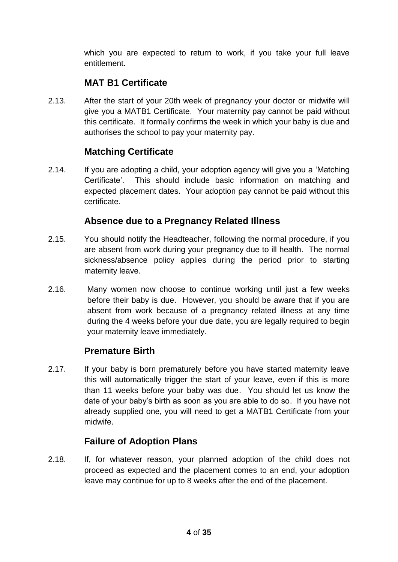which you are expected to return to work, if you take your full leave entitlement.

## **MAT B1 Certificate**

2.13. After the start of your 20th week of pregnancy your doctor or midwife will give you a MATB1 Certificate. Your maternity pay cannot be paid without this certificate. It formally confirms the week in which your baby is due and authorises the school to pay your maternity pay.

## **Matching Certificate**

2.14. If you are adopting a child, your adoption agency will give you a 'Matching Certificate'. This should include basic information on matching and expected placement dates. Your adoption pay cannot be paid without this certificate.

## **Absence due to a Pregnancy Related Illness**

- 2.15. You should notify the Headteacher, following the normal procedure, if you are absent from work during your pregnancy due to ill health. The normal sickness/absence policy applies during the period prior to starting maternity leave.
- 2.16. Many women now choose to continue working until just a few weeks before their baby is due. However, you should be aware that if you are absent from work because of a pregnancy related illness at any time during the 4 weeks before your due date, you are legally required to begin your maternity leave immediately.

## **Premature Birth**

2.17. If your baby is born prematurely before you have started maternity leave this will automatically trigger the start of your leave, even if this is more than 11 weeks before your baby was due. You should let us know the date of your baby's birth as soon as you are able to do so. If you have not already supplied one, you will need to get a MATB1 Certificate from your midwife.

## **Failure of Adoption Plans**

2.18. If, for whatever reason, your planned adoption of the child does not proceed as expected and the placement comes to an end, your adoption leave may continue for up to 8 weeks after the end of the placement.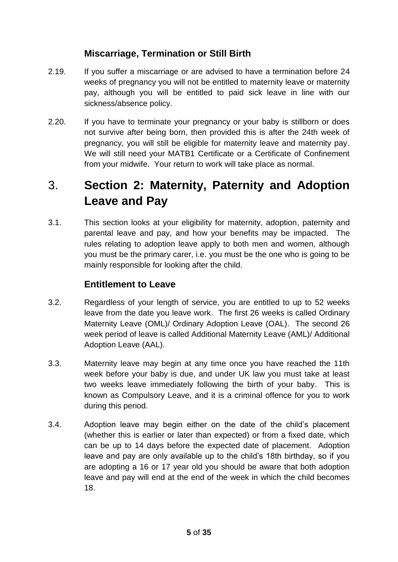## **Miscarriage, Termination or Still Birth**

- 2.19. If you suffer a miscarriage or are advised to have a termination before 24 weeks of pregnancy you will not be entitled to maternity leave or maternity pay, although you will be entitled to paid sick leave in line with our sickness/absence policy.
- 2.20. If you have to terminate your pregnancy or your baby is stillborn or does not survive after being born, then provided this is after the 24th week of pregnancy, you will still be eligible for maternity leave and maternity pay. We will still need your MATB1 Certificate or a Certificate of Confinement from your midwife. Your return to work will take place as normal.

## 3. **Section 2: Maternity, Paternity and Adoption Leave and Pay**

3.1. This section looks at your eligibility for maternity, adoption, paternity and parental leave and pay, and how your benefits may be impacted. The rules relating to adoption leave apply to both men and women, although you must be the primary carer, i.e. you must be the one who is going to be mainly responsible for looking after the child.

## **Entitlement to Leave**

- 3.2. Regardless of your length of service, you are entitled to up to 52 weeks leave from the date you leave work. The first 26 weeks is called Ordinary Maternity Leave (OML)/ Ordinary Adoption Leave (OAL). The second 26 week period of leave is called Additional Maternity Leave (AML)/ Additional Adoption Leave (AAL).
- 3.3. Maternity leave may begin at any time once you have reached the 11th week before your baby is due, and under UK law you must take at least two weeks leave immediately following the birth of your baby. This is known as Compulsory Leave, and it is a criminal offence for you to work during this period.
- 3.4. Adoption leave may begin either on the date of the child's placement (whether this is earlier or later than expected) or from a fixed date, which can be up to 14 days before the expected date of placement. Adoption leave and pay are only available up to the child's 18th birthday, so if you are adopting a 16 or 17 year old you should be aware that both adoption leave and pay will end at the end of the week in which the child becomes 18.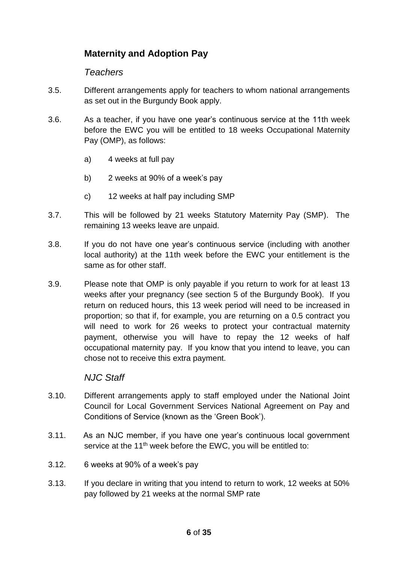## **Maternity and Adoption Pay**

#### *Teachers*

- 3.5. Different arrangements apply for teachers to whom national arrangements as set out in the Burgundy Book apply.
- 3.6. As a teacher, if you have one year's continuous service at the 11th week before the EWC you will be entitled to 18 weeks Occupational Maternity Pay (OMP), as follows:
	- a) 4 weeks at full pay
	- b) 2 weeks at 90% of a week's pay
	- c) 12 weeks at half pay including SMP
- 3.7. This will be followed by 21 weeks Statutory Maternity Pay (SMP). The remaining 13 weeks leave are unpaid.
- 3.8. If you do not have one year's continuous service (including with another local authority) at the 11th week before the EWC your entitlement is the same as for other staff.
- 3.9. Please note that OMP is only payable if you return to work for at least 13 weeks after your pregnancy (see section 5 of the Burgundy Book). If you return on reduced hours, this 13 week period will need to be increased in proportion; so that if, for example, you are returning on a 0.5 contract you will need to work for 26 weeks to protect your contractual maternity payment, otherwise you will have to repay the 12 weeks of half occupational maternity pay. If you know that you intend to leave, you can chose not to receive this extra payment.

#### *NJC Staff*

- 3.10. Different arrangements apply to staff employed under the National Joint Council for Local Government Services National Agreement on Pay and Conditions of Service (known as the 'Green Book').
- 3.11. As an NJC member, if you have one year's continuous local government service at the 11<sup>th</sup> week before the EWC, you will be entitled to:
- 3.12. 6 weeks at 90% of a week's pay
- 3.13. If you declare in writing that you intend to return to work, 12 weeks at 50% pay followed by 21 weeks at the normal SMP rate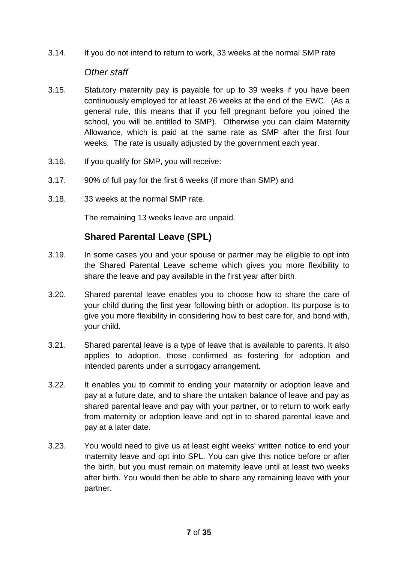3.14. If you do not intend to return to work, 33 weeks at the normal SMP rate

#### *Other staff*

- 3.15. Statutory maternity pay is payable for up to 39 weeks if you have been continuously employed for at least 26 weeks at the end of the EWC. (As a general rule, this means that if you fell pregnant before you joined the school, you will be entitled to SMP). Otherwise you can claim Maternity Allowance, which is paid at the same rate as SMP after the first four weeks. The rate is usually adjusted by the government each year.
- 3.16. If you qualify for SMP, you will receive:
- 3.17. 90% of full pay for the first 6 weeks (if more than SMP) and
- 3.18. 33 weeks at the normal SMP rate.

The remaining 13 weeks leave are unpaid.

## **Shared Parental Leave (SPL)**

- 3.19. In some cases you and your spouse or partner may be eligible to opt into the Shared Parental Leave scheme which gives you more flexibility to share the leave and pay available in the first year after birth.
- 3.20. Shared parental leave enables you to choose how to share the care of your child during the first year following birth or adoption. Its purpose is to give you more flexibility in considering how to best care for, and bond with, your child.
- 3.21. Shared parental leave is a type of leave that is available to parents. It also applies to adoption, those confirmed as fostering for adoption and intended parents under a surrogacy arrangement.
- 3.22. It enables you to commit to ending your maternity or adoption leave and pay at a future date, and to share the untaken balance of leave and pay as shared parental leave and pay with your partner, or to return to work early from maternity or adoption leave and opt in to shared parental leave and pay at a later date.
- 3.23. You would need to give us at least eight weeks' written notice to end your maternity leave and opt into SPL. You can give this notice before or after the birth, but you must remain on maternity leave until at least two weeks after birth. You would then be able to share any remaining leave with your partner.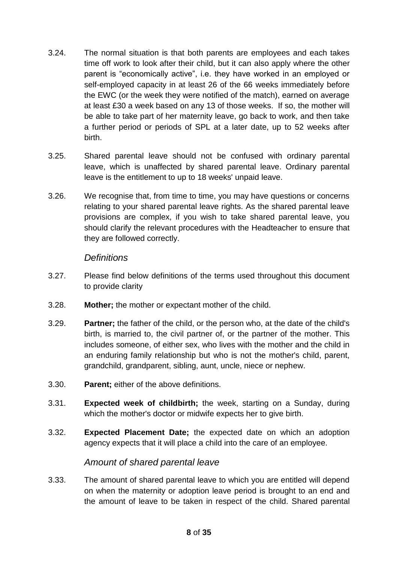- 3.24. The normal situation is that both parents are employees and each takes time off work to look after their child, but it can also apply where the other parent is "economically active", i.e. they have worked in an employed or self-employed capacity in at least 26 of the 66 weeks immediately before the EWC (or the week they were notified of the match), earned on average at least £30 a week based on any 13 of those weeks. If so, the mother will be able to take part of her maternity leave, go back to work, and then take a further period or periods of SPL at a later date, up to 52 weeks after birth.
- 3.25. Shared parental leave should not be confused with ordinary parental leave, which is unaffected by shared parental leave. Ordinary parental leave is the entitlement to up to 18 weeks' unpaid leave.
- 3.26. We recognise that, from time to time, you may have questions or concerns relating to your shared parental leave rights. As the shared parental leave provisions are complex, if you wish to take shared parental leave, you should clarify the relevant procedures with the Headteacher to ensure that they are followed correctly.

#### *Definitions*

- 3.27. Please find below definitions of the terms used throughout this document to provide clarity
- 3.28. **Mother;** the mother or expectant mother of the child.
- 3.29. **Partner;** the father of the child, or the person who, at the date of the child's birth, is married to, the civil partner of, or the partner of the mother. This includes someone, of either sex, who lives with the mother and the child in an enduring family relationship but who is not the mother's child, parent, grandchild, grandparent, sibling, aunt, uncle, niece or nephew.
- 3.30. **Parent;** either of the above definitions.
- 3.31. **Expected week of childbirth;** the week, starting on a Sunday, during which the mother's doctor or midwife expects her to give birth.
- 3.32. **Expected Placement Date;** the expected date on which an adoption agency expects that it will place a child into the care of an employee.

#### *Amount of shared parental leave*

3.33. The amount of shared parental leave to which you are entitled will depend on when the maternity or adoption leave period is brought to an end and the amount of leave to be taken in respect of the child. Shared parental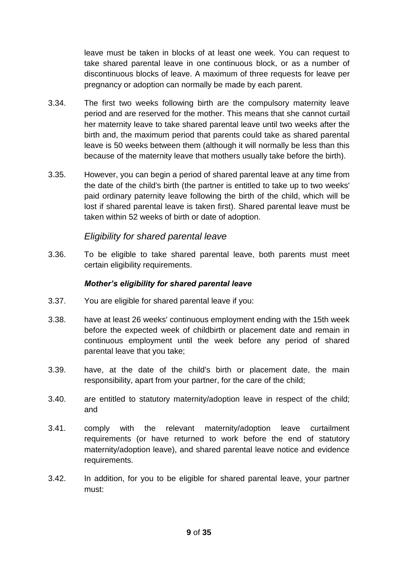leave must be taken in blocks of at least one week. You can request to take shared parental leave in one continuous block, or as a number of discontinuous blocks of leave. A maximum of three requests for leave per pregnancy or adoption can normally be made by each parent.

- 3.34. The first two weeks following birth are the compulsory maternity leave period and are reserved for the mother. This means that she cannot curtail her maternity leave to take shared parental leave until two weeks after the birth and, the maximum period that parents could take as shared parental leave is 50 weeks between them (although it will normally be less than this because of the maternity leave that mothers usually take before the birth).
- 3.35. However, you can begin a period of shared parental leave at any time from the date of the child's birth (the partner is entitled to take up to two weeks' paid ordinary paternity leave following the birth of the child, which will be lost if shared parental leave is taken first). Shared parental leave must be taken within 52 weeks of birth or date of adoption.

#### *Eligibility for shared parental leave*

3.36. To be eligible to take shared parental leave, both parents must meet certain eligibility requirements.

#### *Mother's eligibility for shared parental leave*

- 3.37. You are eligible for shared parental leave if you:
- 3.38. have at least 26 weeks' continuous employment ending with the 15th week before the expected week of childbirth or placement date and remain in continuous employment until the week before any period of shared parental leave that you take;
- 3.39. have, at the date of the child's birth or placement date, the main responsibility, apart from your partner, for the care of the child;
- 3.40. are entitled to statutory maternity/adoption leave in respect of the child; and
- 3.41. comply with the relevant maternity/adoption leave curtailment requirements (or have returned to work before the end of statutory maternity/adoption leave), and shared parental leave notice and evidence requirements.
- 3.42. In addition, for you to be eligible for shared parental leave, your partner must: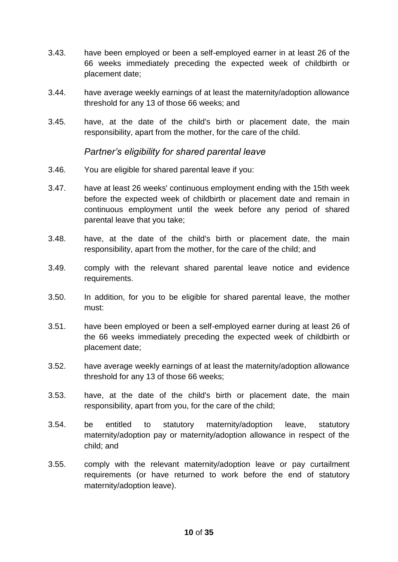- 3.43. have been employed or been a self-employed earner in at least 26 of the 66 weeks immediately preceding the expected week of childbirth or placement date;
- 3.44. have average weekly earnings of at least the maternity/adoption allowance threshold for any 13 of those 66 weeks; and
- 3.45. have, at the date of the child's birth or placement date, the main responsibility, apart from the mother, for the care of the child.

#### *Partner's eligibility for shared parental leave*

- 3.46. You are eligible for shared parental leave if you:
- 3.47. have at least 26 weeks' continuous employment ending with the 15th week before the expected week of childbirth or placement date and remain in continuous employment until the week before any period of shared parental leave that you take;
- 3.48. have, at the date of the child's birth or placement date, the main responsibility, apart from the mother, for the care of the child; and
- 3.49. comply with the relevant shared parental leave notice and evidence requirements.
- 3.50. In addition, for you to be eligible for shared parental leave, the mother must:
- 3.51. have been employed or been a self-employed earner during at least 26 of the 66 weeks immediately preceding the expected week of childbirth or placement date;
- 3.52. have average weekly earnings of at least the maternity/adoption allowance threshold for any 13 of those 66 weeks;
- 3.53. have, at the date of the child's birth or placement date, the main responsibility, apart from you, for the care of the child;
- 3.54. be entitled to statutory maternity/adoption leave, statutory maternity/adoption pay or maternity/adoption allowance in respect of the child; and
- 3.55. comply with the relevant maternity/adoption leave or pay curtailment requirements (or have returned to work before the end of statutory maternity/adoption leave).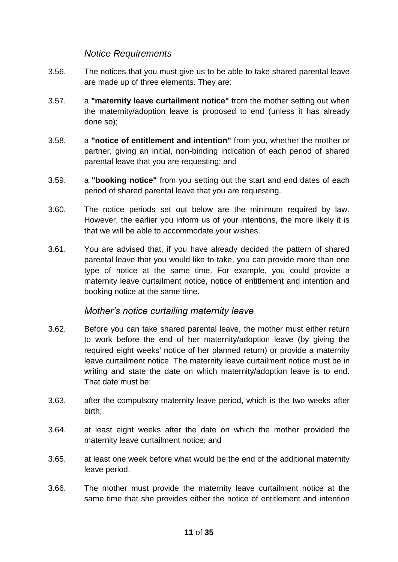#### *Notice Requirements*

- 3.56. The notices that you must give us to be able to take shared parental leave are made up of three elements. They are:
- 3.57. a **"maternity leave curtailment notice"** from the mother setting out when the maternity/adoption leave is proposed to end (unless it has already done so);
- 3.58. a **"notice of entitlement and intention"** from you, whether the mother or partner, giving an initial, non-binding indication of each period of shared parental leave that you are requesting; and
- 3.59. a **"booking notice"** from you setting out the start and end dates of each period of shared parental leave that you are requesting.
- 3.60. The notice periods set out below are the minimum required by law. However, the earlier you inform us of your intentions, the more likely it is that we will be able to accommodate your wishes.
- 3.61. You are advised that, if you have already decided the pattern of shared parental leave that you would like to take, you can provide more than one type of notice at the same time. For example, you could provide a maternity leave curtailment notice, notice of entitlement and intention and booking notice at the same time.

#### *Mother's notice curtailing maternity leave*

- 3.62. Before you can take shared parental leave, the mother must either return to work before the end of her maternity/adoption leave (by giving the required eight weeks' notice of her planned return) or provide a maternity leave curtailment notice. The maternity leave curtailment notice must be in writing and state the date on which maternity/adoption leave is to end. That date must be:
- 3.63. after the compulsory maternity leave period, which is the two weeks after birth;
- 3.64. at least eight weeks after the date on which the mother provided the maternity leave curtailment notice; and
- 3.65. at least one week before what would be the end of the additional maternity leave period.
- 3.66. The mother must provide the maternity leave curtailment notice at the same time that she provides either the notice of entitlement and intention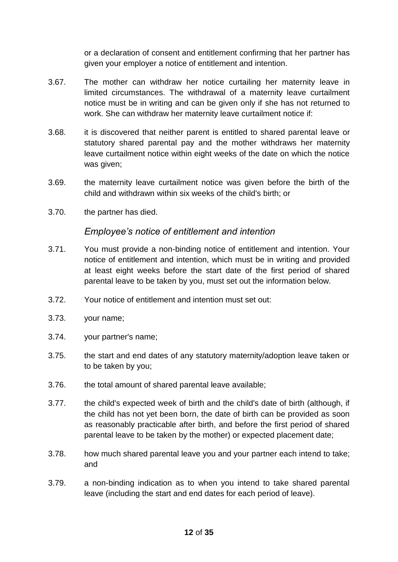or a declaration of consent and entitlement confirming that her partner has given your employer a notice of entitlement and intention.

- 3.67. The mother can withdraw her notice curtailing her maternity leave in limited circumstances. The withdrawal of a maternity leave curtailment notice must be in writing and can be given only if she has not returned to work. She can withdraw her maternity leave curtailment notice if:
- 3.68. it is discovered that neither parent is entitled to shared parental leave or statutory shared parental pay and the mother withdraws her maternity leave curtailment notice within eight weeks of the date on which the notice was given;
- 3.69. the maternity leave curtailment notice was given before the birth of the child and withdrawn within six weeks of the child's birth; or
- 3.70. the partner has died.

#### *Employee's notice of entitlement and intention*

- 3.71. You must provide a non-binding notice of entitlement and intention. Your notice of entitlement and intention, which must be in writing and provided at least eight weeks before the start date of the first period of shared parental leave to be taken by you, must set out the information below.
- 3.72. Your notice of entitlement and intention must set out:
- 3.73. your name;
- 3.74. your partner's name;
- 3.75. the start and end dates of any statutory maternity/adoption leave taken or to be taken by you;
- 3.76. the total amount of shared parental leave available;
- 3.77. the child's expected week of birth and the child's date of birth (although, if the child has not yet been born, the date of birth can be provided as soon as reasonably practicable after birth, and before the first period of shared parental leave to be taken by the mother) or expected placement date;
- 3.78. how much shared parental leave you and your partner each intend to take; and
- 3.79. a non-binding indication as to when you intend to take shared parental leave (including the start and end dates for each period of leave).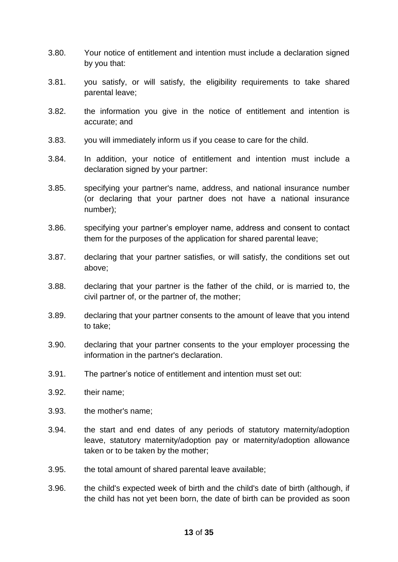- 3.80. Your notice of entitlement and intention must include a declaration signed by you that:
- 3.81. you satisfy, or will satisfy, the eligibility requirements to take shared parental leave;
- 3.82. the information you give in the notice of entitlement and intention is accurate; and
- 3.83. you will immediately inform us if you cease to care for the child.
- 3.84. In addition, your notice of entitlement and intention must include a declaration signed by your partner:
- 3.85. specifying your partner's name, address, and national insurance number (or declaring that your partner does not have a national insurance number);
- 3.86. specifying your partner's employer name, address and consent to contact them for the purposes of the application for shared parental leave;
- 3.87. declaring that your partner satisfies, or will satisfy, the conditions set out above;
- 3.88. declaring that your partner is the father of the child, or is married to, the civil partner of, or the partner of, the mother;
- 3.89. declaring that your partner consents to the amount of leave that you intend to take;
- 3.90. declaring that your partner consents to the your employer processing the information in the partner's declaration.
- 3.91. The partner's notice of entitlement and intention must set out:
- 3.92. their name;
- 3.93. the mother's name;
- 3.94. the start and end dates of any periods of statutory maternity/adoption leave, statutory maternity/adoption pay or maternity/adoption allowance taken or to be taken by the mother;
- 3.95. the total amount of shared parental leave available;
- 3.96. the child's expected week of birth and the child's date of birth (although, if the child has not yet been born, the date of birth can be provided as soon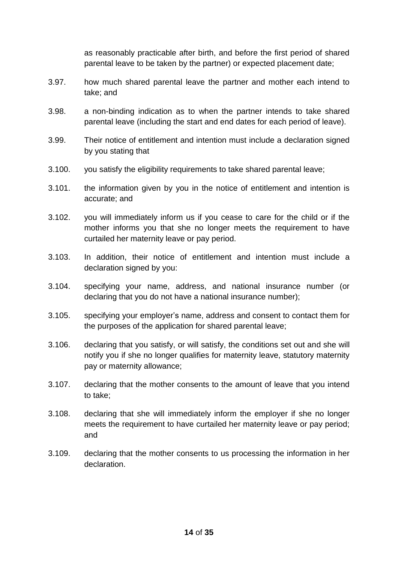as reasonably practicable after birth, and before the first period of shared parental leave to be taken by the partner) or expected placement date;

- 3.97. how much shared parental leave the partner and mother each intend to take; and
- 3.98. a non-binding indication as to when the partner intends to take shared parental leave (including the start and end dates for each period of leave).
- 3.99. Their notice of entitlement and intention must include a declaration signed by you stating that
- 3.100. you satisfy the eligibility requirements to take shared parental leave;
- 3.101. the information given by you in the notice of entitlement and intention is accurate; and
- 3.102. you will immediately inform us if you cease to care for the child or if the mother informs you that she no longer meets the requirement to have curtailed her maternity leave or pay period.
- 3.103. In addition, their notice of entitlement and intention must include a declaration signed by you:
- 3.104. specifying your name, address, and national insurance number (or declaring that you do not have a national insurance number);
- 3.105. specifying your employer's name, address and consent to contact them for the purposes of the application for shared parental leave;
- 3.106. declaring that you satisfy, or will satisfy, the conditions set out and she will notify you if she no longer qualifies for maternity leave, statutory maternity pay or maternity allowance;
- 3.107. declaring that the mother consents to the amount of leave that you intend to take;
- 3.108. declaring that she will immediately inform the employer if she no longer meets the requirement to have curtailed her maternity leave or pay period; and
- 3.109. declaring that the mother consents to us processing the information in her declaration.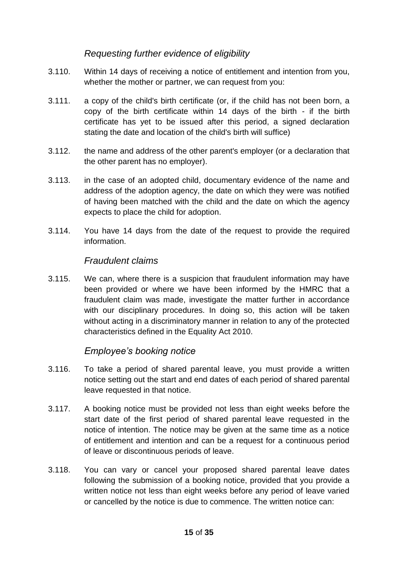#### *Requesting further evidence of eligibility*

- 3.110. Within 14 days of receiving a notice of entitlement and intention from you, whether the mother or partner, we can request from you:
- 3.111. a copy of the child's birth certificate (or, if the child has not been born, a copy of the birth certificate within 14 days of the birth - if the birth certificate has yet to be issued after this period, a signed declaration stating the date and location of the child's birth will suffice)
- 3.112. the name and address of the other parent's employer (or a declaration that the other parent has no employer).
- 3.113. in the case of an adopted child, documentary evidence of the name and address of the adoption agency, the date on which they were was notified of having been matched with the child and the date on which the agency expects to place the child for adoption.
- 3.114. You have 14 days from the date of the request to provide the required information.

#### *Fraudulent claims*

3.115. We can, where there is a suspicion that fraudulent information may have been provided or where we have been informed by the HMRC that a fraudulent claim was made, investigate the matter further in accordance with our disciplinary procedures. In doing so, this action will be taken without acting in a discriminatory manner in relation to any of the protected characteristics defined in the Equality Act 2010.

#### *Employee's booking notice*

- 3.116. To take a period of shared parental leave, you must provide a written notice setting out the start and end dates of each period of shared parental leave requested in that notice.
- 3.117. A booking notice must be provided not less than eight weeks before the start date of the first period of shared parental leave requested in the notice of intention. The notice may be given at the same time as a notice of entitlement and intention and can be a request for a continuous period of leave or discontinuous periods of leave.
- 3.118. You can vary or cancel your proposed shared parental leave dates following the submission of a booking notice, provided that you provide a written notice not less than eight weeks before any period of leave varied or cancelled by the notice is due to commence. The written notice can: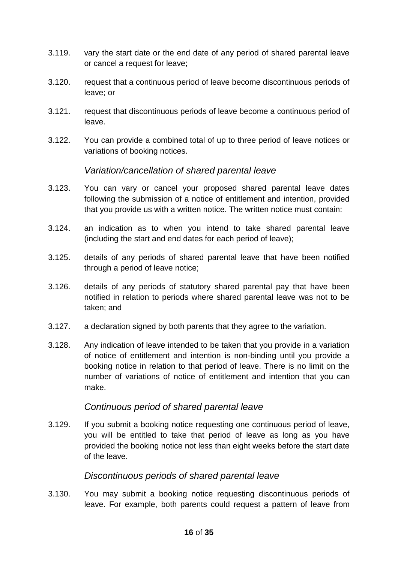- 3.119. vary the start date or the end date of any period of shared parental leave or cancel a request for leave;
- 3.120. request that a continuous period of leave become discontinuous periods of leave; or
- 3.121. request that discontinuous periods of leave become a continuous period of leave.
- 3.122. You can provide a combined total of up to three period of leave notices or variations of booking notices.

#### *Variation/cancellation of shared parental leave*

- 3.123. You can vary or cancel your proposed shared parental leave dates following the submission of a notice of entitlement and intention, provided that you provide us with a written notice. The written notice must contain:
- 3.124. an indication as to when you intend to take shared parental leave (including the start and end dates for each period of leave);
- 3.125. details of any periods of shared parental leave that have been notified through a period of leave notice;
- 3.126. details of any periods of statutory shared parental pay that have been notified in relation to periods where shared parental leave was not to be taken; and
- 3.127. a declaration signed by both parents that they agree to the variation.
- 3.128. Any indication of leave intended to be taken that you provide in a variation of notice of entitlement and intention is non-binding until you provide a booking notice in relation to that period of leave. There is no limit on the number of variations of notice of entitlement and intention that you can make.

#### *Continuous period of shared parental leave*

3.129. If you submit a booking notice requesting one continuous period of leave, you will be entitled to take that period of leave as long as you have provided the booking notice not less than eight weeks before the start date of the leave.

#### *Discontinuous periods of shared parental leave*

3.130. You may submit a booking notice requesting discontinuous periods of leave. For example, both parents could request a pattern of leave from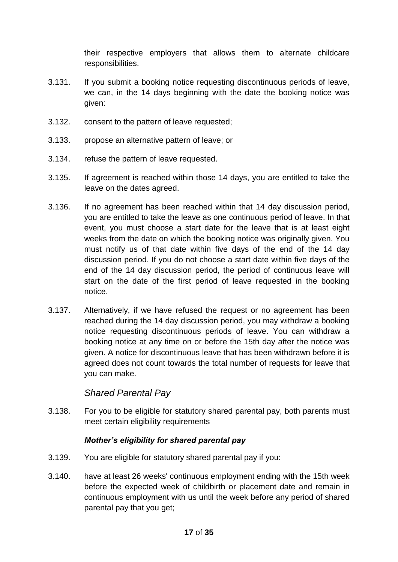their respective employers that allows them to alternate childcare responsibilities.

- 3.131. If you submit a booking notice requesting discontinuous periods of leave, we can, in the 14 days beginning with the date the booking notice was given:
- 3.132. consent to the pattern of leave requested;
- 3.133. propose an alternative pattern of leave; or
- 3.134. refuse the pattern of leave requested.
- 3.135. If agreement is reached within those 14 days, you are entitled to take the leave on the dates agreed.
- 3.136. If no agreement has been reached within that 14 day discussion period, you are entitled to take the leave as one continuous period of leave. In that event, you must choose a start date for the leave that is at least eight weeks from the date on which the booking notice was originally given. You must notify us of that date within five days of the end of the 14 day discussion period. If you do not choose a start date within five days of the end of the 14 day discussion period, the period of continuous leave will start on the date of the first period of leave requested in the booking notice.
- 3.137. Alternatively, if we have refused the request or no agreement has been reached during the 14 day discussion period, you may withdraw a booking notice requesting discontinuous periods of leave. You can withdraw a booking notice at any time on or before the 15th day after the notice was given. A notice for discontinuous leave that has been withdrawn before it is agreed does not count towards the total number of requests for leave that you can make.

#### *Shared Parental Pay*

3.138. For you to be eligible for statutory shared parental pay, both parents must meet certain eligibility requirements

#### *Mother's eligibility for shared parental pay*

- 3.139. You are eligible for statutory shared parental pay if you:
- 3.140. have at least 26 weeks' continuous employment ending with the 15th week before the expected week of childbirth or placement date and remain in continuous employment with us until the week before any period of shared parental pay that you get;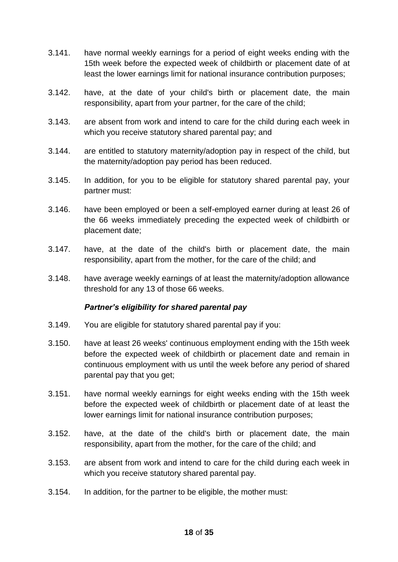- 3.141. have normal weekly earnings for a period of eight weeks ending with the 15th week before the expected week of childbirth or placement date of at least the lower earnings limit for national insurance contribution purposes;
- 3.142. have, at the date of your child's birth or placement date, the main responsibility, apart from your partner, for the care of the child;
- 3.143. are absent from work and intend to care for the child during each week in which you receive statutory shared parental pay; and
- 3.144. are entitled to statutory maternity/adoption pay in respect of the child, but the maternity/adoption pay period has been reduced.
- 3.145. In addition, for you to be eligible for statutory shared parental pay, your partner must:
- 3.146. have been employed or been a self-employed earner during at least 26 of the 66 weeks immediately preceding the expected week of childbirth or placement date;
- 3.147. have, at the date of the child's birth or placement date, the main responsibility, apart from the mother, for the care of the child; and
- 3.148. have average weekly earnings of at least the maternity/adoption allowance threshold for any 13 of those 66 weeks.

#### *Partner's eligibility for shared parental pay*

- 3.149. You are eligible for statutory shared parental pay if you:
- 3.150. have at least 26 weeks' continuous employment ending with the 15th week before the expected week of childbirth or placement date and remain in continuous employment with us until the week before any period of shared parental pay that you get;
- 3.151. have normal weekly earnings for eight weeks ending with the 15th week before the expected week of childbirth or placement date of at least the lower earnings limit for national insurance contribution purposes;
- 3.152. have, at the date of the child's birth or placement date, the main responsibility, apart from the mother, for the care of the child; and
- 3.153. are absent from work and intend to care for the child during each week in which you receive statutory shared parental pay.
- 3.154. In addition, for the partner to be eligible, the mother must: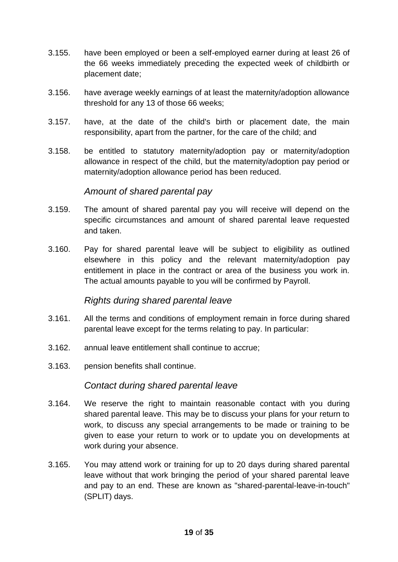- 3.155. have been employed or been a self-employed earner during at least 26 of the 66 weeks immediately preceding the expected week of childbirth or placement date;
- 3.156. have average weekly earnings of at least the maternity/adoption allowance threshold for any 13 of those 66 weeks;
- 3.157. have, at the date of the child's birth or placement date, the main responsibility, apart from the partner, for the care of the child; and
- 3.158. be entitled to statutory maternity/adoption pay or maternity/adoption allowance in respect of the child, but the maternity/adoption pay period or maternity/adoption allowance period has been reduced.

#### *Amount of shared parental pay*

- 3.159. The amount of shared parental pay you will receive will depend on the specific circumstances and amount of shared parental leave requested and taken.
- 3.160. Pay for shared parental leave will be subject to eligibility as outlined elsewhere in this policy and the relevant maternity/adoption pay entitlement in place in the contract or area of the business you work in. The actual amounts payable to you will be confirmed by Payroll.

#### *Rights during shared parental leave*

- 3.161. All the terms and conditions of employment remain in force during shared parental leave except for the terms relating to pay. In particular:
- 3.162. annual leave entitlement shall continue to accrue;
- 3.163. pension benefits shall continue.

#### *Contact during shared parental leave*

- 3.164. We reserve the right to maintain reasonable contact with you during shared parental leave. This may be to discuss your plans for your return to work, to discuss any special arrangements to be made or training to be given to ease your return to work or to update you on developments at work during your absence.
- 3.165. You may attend work or training for up to 20 days during shared parental leave without that work bringing the period of your shared parental leave and pay to an end. These are known as "shared-parental-leave-in-touch" (SPLIT) days.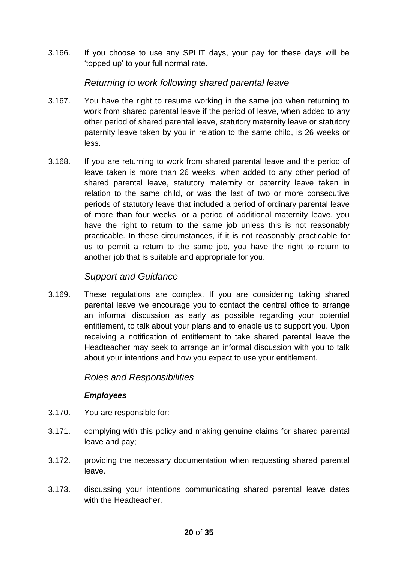3.166. If you choose to use any SPLIT days, your pay for these days will be 'topped up' to your full normal rate.

#### *Returning to work following shared parental leave*

- 3.167. You have the right to resume working in the same job when returning to work from shared parental leave if the period of leave, when added to any other period of shared parental leave, statutory maternity leave or statutory paternity leave taken by you in relation to the same child, is 26 weeks or less.
- 3.168. If you are returning to work from shared parental leave and the period of leave taken is more than 26 weeks, when added to any other period of shared parental leave, statutory maternity or paternity leave taken in relation to the same child, or was the last of two or more consecutive periods of statutory leave that included a period of ordinary parental leave of more than four weeks, or a period of additional maternity leave, you have the right to return to the same job unless this is not reasonably practicable. In these circumstances, if it is not reasonably practicable for us to permit a return to the same job, you have the right to return to another job that is suitable and appropriate for you.

#### *Support and Guidance*

3.169. These regulations are complex. If you are considering taking shared parental leave we encourage you to contact the central office to arrange an informal discussion as early as possible regarding your potential entitlement, to talk about your plans and to enable us to support you. Upon receiving a notification of entitlement to take shared parental leave the Headteacher may seek to arrange an informal discussion with you to talk about your intentions and how you expect to use your entitlement.

#### *Roles and Responsibilities*

#### *Employees*

- 3.170. You are responsible for:
- 3.171. complying with this policy and making genuine claims for shared parental leave and pay;
- 3.172. providing the necessary documentation when requesting shared parental leave.
- 3.173. discussing your intentions communicating shared parental leave dates with the Headteacher.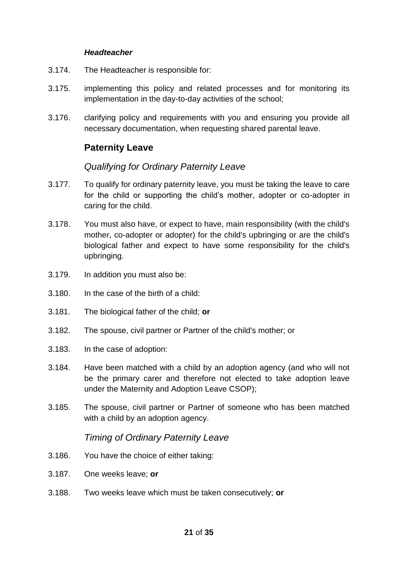#### *Headteacher*

- 3.174. The Headteacher is responsible for:
- 3.175. implementing this policy and related processes and for monitoring its implementation in the day-to-day activities of the school;
- 3.176. clarifying policy and requirements with you and ensuring you provide all necessary documentation, when requesting shared parental leave.

## **Paternity Leave**

#### *Qualifying for Ordinary Paternity Leave*

- 3.177. To qualify for ordinary paternity leave, you must be taking the leave to care for the child or supporting the child's mother, adopter or co-adopter in caring for the child.
- 3.178. You must also have, or expect to have, main responsibility (with the child's mother, co-adopter or adopter) for the child's upbringing or are the child's biological father and expect to have some responsibility for the child's upbringing.
- 3.179. In addition you must also be:
- 3.180. In the case of the birth of a child:
- 3.181. The biological father of the child; **or**
- 3.182. The spouse, civil partner or Partner of the child's mother; or
- 3.183. In the case of adoption:
- 3.184. Have been matched with a child by an adoption agency (and who will not be the primary carer and therefore not elected to take adoption leave under the Maternity and Adoption Leave CSOP);
- 3.185. The spouse, civil partner or Partner of someone who has been matched with a child by an adoption agency.

#### *Timing of Ordinary Paternity Leave*

- 3.186. You have the choice of either taking:
- 3.187. One weeks leave; **or**
- 3.188. Two weeks leave which must be taken consecutively; **or**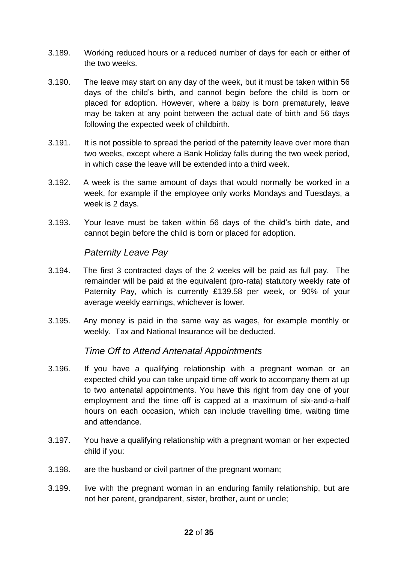- 3.189. Working reduced hours or a reduced number of days for each or either of the two weeks.
- 3.190. The leave may start on any day of the week, but it must be taken within 56 days of the child's birth, and cannot begin before the child is born or placed for adoption. However, where a baby is born prematurely, leave may be taken at any point between the actual date of birth and 56 days following the expected week of childbirth.
- 3.191. It is not possible to spread the period of the paternity leave over more than two weeks, except where a Bank Holiday falls during the two week period, in which case the leave will be extended into a third week.
- 3.192. A week is the same amount of days that would normally be worked in a week, for example if the employee only works Mondays and Tuesdays, a week is 2 days.
- 3.193. Your leave must be taken within 56 days of the child's birth date, and cannot begin before the child is born or placed for adoption.

### *Paternity Leave Pay*

- 3.194. The first 3 contracted days of the 2 weeks will be paid as full pay. The remainder will be paid at the equivalent (pro-rata) statutory weekly rate of Paternity Pay, which is currently £139.58 per week, or 90% of your average weekly earnings, whichever is lower.
- 3.195. Any money is paid in the same way as wages, for example monthly or weekly. Tax and National Insurance will be deducted.

#### *Time Off to Attend Antenatal Appointments*

- 3.196. If you have a qualifying relationship with a pregnant woman or an expected child you can take unpaid time off work to accompany them at up to two antenatal appointments. You have this right from day one of your employment and the time off is capped at a maximum of six-and-a-half hours on each occasion, which can include travelling time, waiting time and attendance.
- 3.197. You have a qualifying relationship with a pregnant woman or her expected child if you:
- 3.198. are the husband or civil partner of the pregnant woman;
- 3.199. live with the pregnant woman in an enduring family relationship, but are not her parent, grandparent, sister, brother, aunt or uncle;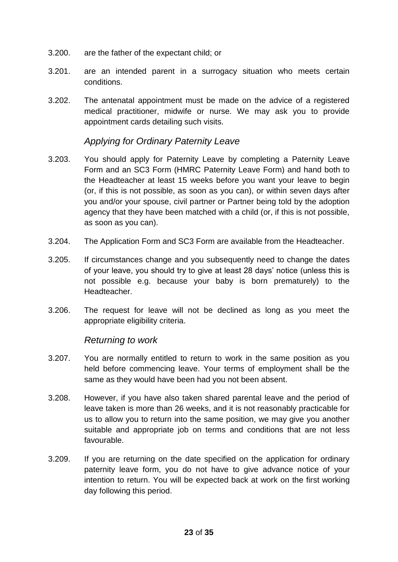- 3.200. are the father of the expectant child; or
- 3.201. are an intended parent in a surrogacy situation who meets certain conditions.
- 3.202. The antenatal appointment must be made on the advice of a registered medical practitioner, midwife or nurse. We may ask you to provide appointment cards detailing such visits.

#### *Applying for Ordinary Paternity Leave*

- 3.203. You should apply for Paternity Leave by completing a Paternity Leave Form and an SC3 Form (HMRC Paternity Leave Form) and hand both to the Headteacher at least 15 weeks before you want your leave to begin (or, if this is not possible, as soon as you can), or within seven days after you and/or your spouse, civil partner or Partner being told by the adoption agency that they have been matched with a child (or, if this is not possible, as soon as you can).
- 3.204. The Application Form and SC3 Form are available from the Headteacher.
- 3.205. If circumstances change and you subsequently need to change the dates of your leave, you should try to give at least 28 days' notice (unless this is not possible e.g. because your baby is born prematurely) to the Headteacher.
- 3.206. The request for leave will not be declined as long as you meet the appropriate eligibility criteria.

#### *Returning to work*

- 3.207. You are normally entitled to return to work in the same position as you held before commencing leave. Your terms of employment shall be the same as they would have been had you not been absent.
- 3.208. However, if you have also taken shared parental leave and the period of leave taken is more than 26 weeks, and it is not reasonably practicable for us to allow you to return into the same position, we may give you another suitable and appropriate job on terms and conditions that are not less favourable.
- 3.209. If you are returning on the date specified on the application for ordinary paternity leave form, you do not have to give advance notice of your intention to return. You will be expected back at work on the first working day following this period.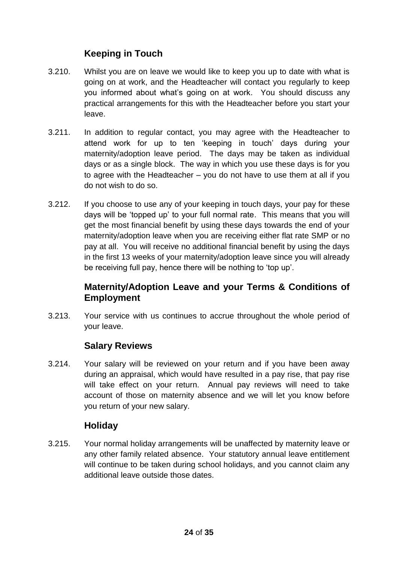## **Keeping in Touch**

- 3.210. Whilst you are on leave we would like to keep you up to date with what is going on at work, and the Headteacher will contact you regularly to keep you informed about what's going on at work. You should discuss any practical arrangements for this with the Headteacher before you start your leave.
- 3.211. In addition to regular contact, you may agree with the Headteacher to attend work for up to ten 'keeping in touch' days during your maternity/adoption leave period. The days may be taken as individual days or as a single block. The way in which you use these days is for you to agree with the Headteacher – you do not have to use them at all if you do not wish to do so.
- 3.212. If you choose to use any of your keeping in touch days, your pay for these days will be 'topped up' to your full normal rate. This means that you will get the most financial benefit by using these days towards the end of your maternity/adoption leave when you are receiving either flat rate SMP or no pay at all. You will receive no additional financial benefit by using the days in the first 13 weeks of your maternity/adoption leave since you will already be receiving full pay, hence there will be nothing to 'top up'.

## **Maternity/Adoption Leave and your Terms & Conditions of Employment**

3.213. Your service with us continues to accrue throughout the whole period of your leave.

## **Salary Reviews**

3.214. Your salary will be reviewed on your return and if you have been away during an appraisal, which would have resulted in a pay rise, that pay rise will take effect on your return. Annual pay reviews will need to take account of those on maternity absence and we will let you know before you return of your new salary.

## **Holiday**

3.215. Your normal holiday arrangements will be unaffected by maternity leave or any other family related absence. Your statutory annual leave entitlement will continue to be taken during school holidays, and you cannot claim any additional leave outside those dates.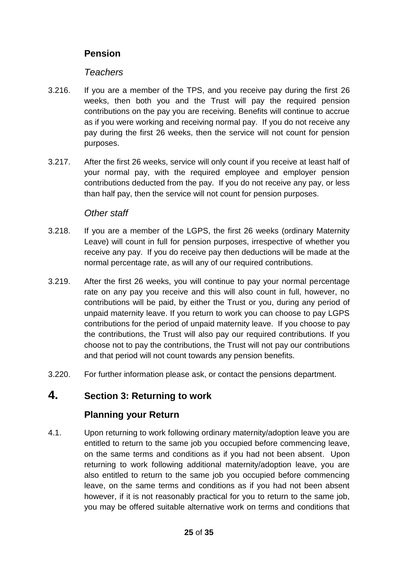## **Pension**

#### *Teachers*

- 3.216. If you are a member of the TPS, and you receive pay during the first 26 weeks, then both you and the Trust will pay the required pension contributions on the pay you are receiving. Benefits will continue to accrue as if you were working and receiving normal pay. If you do not receive any pay during the first 26 weeks, then the service will not count for pension purposes.
- 3.217. After the first 26 weeks, service will only count if you receive at least half of your normal pay, with the required employee and employer pension contributions deducted from the pay. If you do not receive any pay, or less than half pay, then the service will not count for pension purposes.

#### *Other staff*

- 3.218. If you are a member of the LGPS, the first 26 weeks (ordinary Maternity Leave) will count in full for pension purposes, irrespective of whether you receive any pay. If you do receive pay then deductions will be made at the normal percentage rate, as will any of our required contributions.
- 3.219. After the first 26 weeks, you will continue to pay your normal percentage rate on any pay you receive and this will also count in full, however, no contributions will be paid, by either the Trust or you, during any period of unpaid maternity leave. If you return to work you can choose to pay LGPS contributions for the period of unpaid maternity leave. If you choose to pay the contributions, the Trust will also pay our required contributions. If you choose not to pay the contributions, the Trust will not pay our contributions and that period will not count towards any pension benefits.
- 3.220. For further information please ask, or contact the pensions department.

## **4. Section 3: Returning to work**

#### **Planning your Return**

4.1. Upon returning to work following ordinary maternity/adoption leave you are entitled to return to the same job you occupied before commencing leave, on the same terms and conditions as if you had not been absent. Upon returning to work following additional maternity/adoption leave, you are also entitled to return to the same job you occupied before commencing leave, on the same terms and conditions as if you had not been absent however, if it is not reasonably practical for you to return to the same job, you may be offered suitable alternative work on terms and conditions that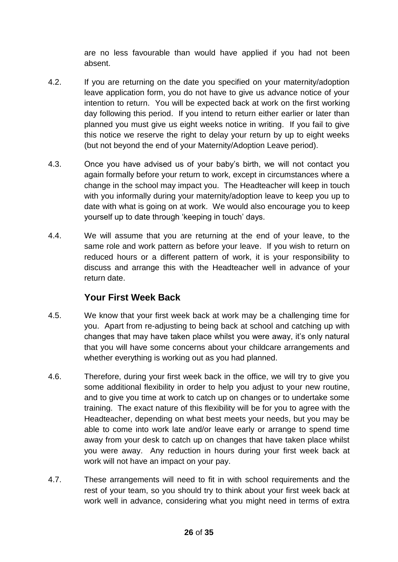are no less favourable than would have applied if you had not been absent.

- 4.2. If you are returning on the date you specified on your maternity/adoption leave application form, you do not have to give us advance notice of your intention to return. You will be expected back at work on the first working day following this period. If you intend to return either earlier or later than planned you must give us eight weeks notice in writing. If you fail to give this notice we reserve the right to delay your return by up to eight weeks (but not beyond the end of your Maternity/Adoption Leave period).
- 4.3. Once you have advised us of your baby's birth, we will not contact you again formally before your return to work, except in circumstances where a change in the school may impact you. The Headteacher will keep in touch with you informally during your maternity/adoption leave to keep you up to date with what is going on at work. We would also encourage you to keep yourself up to date through 'keeping in touch' days.
- 4.4. We will assume that you are returning at the end of your leave, to the same role and work pattern as before your leave. If you wish to return on reduced hours or a different pattern of work, it is your responsibility to discuss and arrange this with the Headteacher well in advance of your return date.

## **Your First Week Back**

- 4.5. We know that your first week back at work may be a challenging time for you. Apart from re-adjusting to being back at school and catching up with changes that may have taken place whilst you were away, it's only natural that you will have some concerns about your childcare arrangements and whether everything is working out as you had planned.
- 4.6. Therefore, during your first week back in the office, we will try to give you some additional flexibility in order to help you adjust to your new routine, and to give you time at work to catch up on changes or to undertake some training. The exact nature of this flexibility will be for you to agree with the Headteacher, depending on what best meets your needs, but you may be able to come into work late and/or leave early or arrange to spend time away from your desk to catch up on changes that have taken place whilst you were away. Any reduction in hours during your first week back at work will not have an impact on your pay.
- 4.7. These arrangements will need to fit in with school requirements and the rest of your team, so you should try to think about your first week back at work well in advance, considering what you might need in terms of extra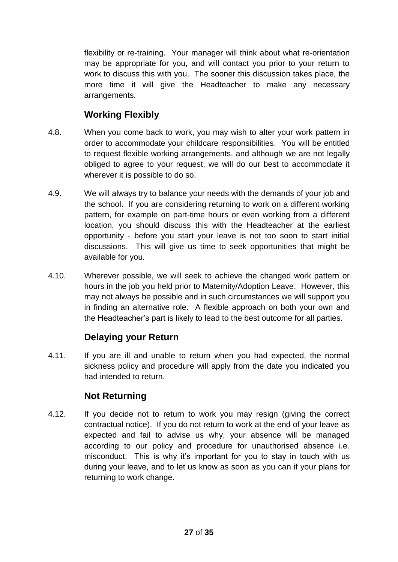flexibility or re-training. Your manager will think about what re-orientation may be appropriate for you, and will contact you prior to your return to work to discuss this with you. The sooner this discussion takes place, the more time it will give the Headteacher to make any necessary arrangements.

## **Working Flexibly**

- 4.8. When you come back to work, you may wish to alter your work pattern in order to accommodate your childcare responsibilities. You will be entitled to request flexible working arrangements, and although we are not legally obliged to agree to your request, we will do our best to accommodate it wherever it is possible to do so.
- 4.9. We will always try to balance your needs with the demands of your job and the school. If you are considering returning to work on a different working pattern, for example on part-time hours or even working from a different location, you should discuss this with the Headteacher at the earliest opportunity - before you start your leave is not too soon to start initial discussions. This will give us time to seek opportunities that might be available for you.
- 4.10. Wherever possible, we will seek to achieve the changed work pattern or hours in the job you held prior to Maternity/Adoption Leave. However, this may not always be possible and in such circumstances we will support you in finding an alternative role. A flexible approach on both your own and the Headteacher's part is likely to lead to the best outcome for all parties.

## **Delaying your Return**

4.11. If you are ill and unable to return when you had expected, the normal sickness policy and procedure will apply from the date you indicated you had intended to return.

## **Not Returning**

4.12. If you decide not to return to work you may resign (giving the correct contractual notice). If you do not return to work at the end of your leave as expected and fail to advise us why, your absence will be managed according to our policy and procedure for unauthorised absence i.e. misconduct. This is why it's important for you to stay in touch with us during your leave, and to let us know as soon as you can if your plans for returning to work change.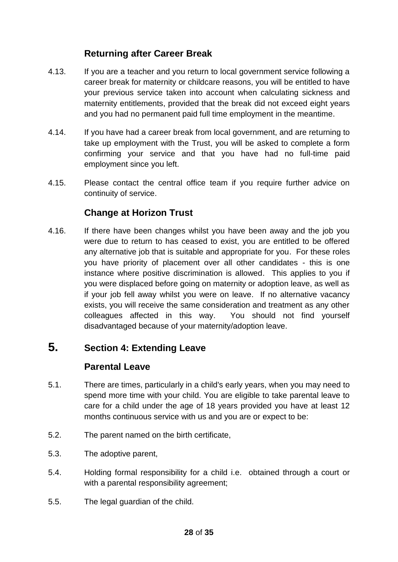## **Returning after Career Break**

- 4.13. If you are a teacher and you return to local government service following a career break for maternity or childcare reasons, you will be entitled to have your previous service taken into account when calculating sickness and maternity entitlements, provided that the break did not exceed eight years and you had no permanent paid full time employment in the meantime.
- 4.14. If you have had a career break from local government, and are returning to take up employment with the Trust, you will be asked to complete a form confirming your service and that you have had no full-time paid employment since you left.
- 4.15. Please contact the central office team if you require further advice on continuity of service.

## **Change at Horizon Trust**

4.16. If there have been changes whilst you have been away and the job you were due to return to has ceased to exist, you are entitled to be offered any alternative job that is suitable and appropriate for you. For these roles you have priority of placement over all other candidates - this is one instance where positive discrimination is allowed. This applies to you if you were displaced before going on maternity or adoption leave, as well as if your job fell away whilst you were on leave. If no alternative vacancy exists, you will receive the same consideration and treatment as any other colleagues affected in this way. You should not find yourself disadvantaged because of your maternity/adoption leave.

## **5. Section 4: Extending Leave**

#### **Parental Leave**

- 5.1. There are times, particularly in a child's early years, when you may need to spend more time with your child. You are eligible to take parental leave to care for a child under the age of 18 years provided you have at least 12 months continuous service with us and you are or expect to be:
- 5.2. The parent named on the birth certificate,
- 5.3. The adoptive parent,
- 5.4. Holding formal responsibility for a child i.e. obtained through a court or with a parental responsibility agreement;
- 5.5. The legal guardian of the child.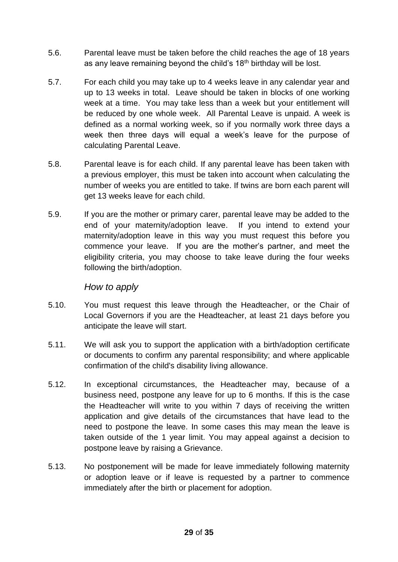- 5.6. Parental leave must be taken before the child reaches the age of 18 years as any leave remaining beyond the child's  $18<sup>th</sup>$  birthday will be lost.
- 5.7. For each child you may take up to 4 weeks leave in any calendar year and up to 13 weeks in total. Leave should be taken in blocks of one working week at a time. You may take less than a week but your entitlement will be reduced by one whole week. All Parental Leave is unpaid. A week is defined as a normal working week, so if you normally work three days a week then three days will equal a week's leave for the purpose of calculating Parental Leave.
- 5.8. Parental leave is for each child. If any parental leave has been taken with a previous employer, this must be taken into account when calculating the number of weeks you are entitled to take. If twins are born each parent will get 13 weeks leave for each child.
- 5.9. If you are the mother or primary carer, parental leave may be added to the end of your maternity/adoption leave. If you intend to extend your maternity/adoption leave in this way you must request this before you commence your leave. If you are the mother's partner, and meet the eligibility criteria, you may choose to take leave during the four weeks following the birth/adoption.

#### *How to apply*

- 5.10. You must request this leave through the Headteacher, or the Chair of Local Governors if you are the Headteacher, at least 21 days before you anticipate the leave will start.
- 5.11. We will ask you to support the application with a birth/adoption certificate or documents to confirm any parental responsibility; and where applicable confirmation of the child's disability living allowance.
- 5.12. In exceptional circumstances, the Headteacher may, because of a business need, postpone any leave for up to 6 months. If this is the case the Headteacher will write to you within 7 days of receiving the written application and give details of the circumstances that have lead to the need to postpone the leave. In some cases this may mean the leave is taken outside of the 1 year limit. You may appeal against a decision to postpone leave by raising a Grievance.
- 5.13. No postponement will be made for leave immediately following maternity or adoption leave or if leave is requested by a partner to commence immediately after the birth or placement for adoption.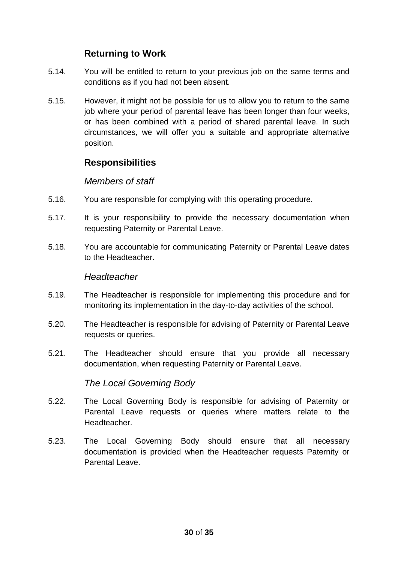## **Returning to Work**

- 5.14. You will be entitled to return to your previous job on the same terms and conditions as if you had not been absent.
- 5.15. However, it might not be possible for us to allow you to return to the same job where your period of parental leave has been longer than four weeks, or has been combined with a period of shared parental leave. In such circumstances, we will offer you a suitable and appropriate alternative position.

## **Responsibilities**

#### *Members of staff*

- 5.16. You are responsible for complying with this operating procedure.
- 5.17. It is your responsibility to provide the necessary documentation when requesting Paternity or Parental Leave.
- 5.18. You are accountable for communicating Paternity or Parental Leave dates to the Headteacher.

#### *Headteacher*

- 5.19. The Headteacher is responsible for implementing this procedure and for monitoring its implementation in the day-to-day activities of the school.
- 5.20. The Headteacher is responsible for advising of Paternity or Parental Leave requests or queries.
- 5.21. The Headteacher should ensure that you provide all necessary documentation, when requesting Paternity or Parental Leave.

#### *The Local Governing Body*

- 5.22. The Local Governing Body is responsible for advising of Paternity or Parental Leave requests or queries where matters relate to the Headteacher.
- 5.23. The Local Governing Body should ensure that all necessary documentation is provided when the Headteacher requests Paternity or Parental Leave.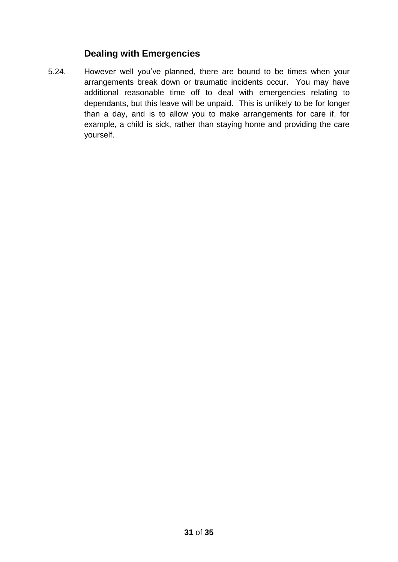### **Dealing with Emergencies**

5.24. However well you've planned, there are bound to be times when your arrangements break down or traumatic incidents occur. You may have additional reasonable time off to deal with emergencies relating to dependants, but this leave will be unpaid. This is unlikely to be for longer than a day, and is to allow you to make arrangements for care if, for example, a child is sick, rather than staying home and providing the care yourself.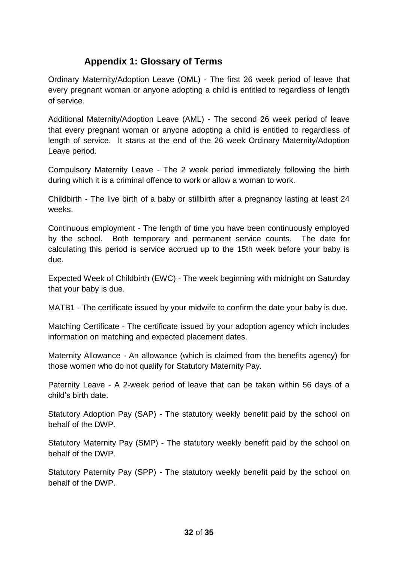## **Appendix 1: Glossary of Terms**

Ordinary Maternity/Adoption Leave (OML) - The first 26 week period of leave that every pregnant woman or anyone adopting a child is entitled to regardless of length of service.

Additional Maternity/Adoption Leave (AML) - The second 26 week period of leave that every pregnant woman or anyone adopting a child is entitled to regardless of length of service. It starts at the end of the 26 week Ordinary Maternity/Adoption Leave period.

Compulsory Maternity Leave - The 2 week period immediately following the birth during which it is a criminal offence to work or allow a woman to work.

Childbirth - The live birth of a baby or stillbirth after a pregnancy lasting at least 24 weeks.

Continuous employment - The length of time you have been continuously employed by the school. Both temporary and permanent service counts. The date for calculating this period is service accrued up to the 15th week before your baby is due.

Expected Week of Childbirth (EWC) - The week beginning with midnight on Saturday that your baby is due.

MATB1 - The certificate issued by your midwife to confirm the date your baby is due.

Matching Certificate - The certificate issued by your adoption agency which includes information on matching and expected placement dates.

Maternity Allowance - An allowance (which is claimed from the benefits agency) for those women who do not qualify for Statutory Maternity Pay.

Paternity Leave - A 2-week period of leave that can be taken within 56 days of a child's birth date.

Statutory Adoption Pay (SAP) - The statutory weekly benefit paid by the school on behalf of the DWP.

Statutory Maternity Pay (SMP) - The statutory weekly benefit paid by the school on behalf of the DWP.

Statutory Paternity Pay (SPP) - The statutory weekly benefit paid by the school on behalf of the DWP.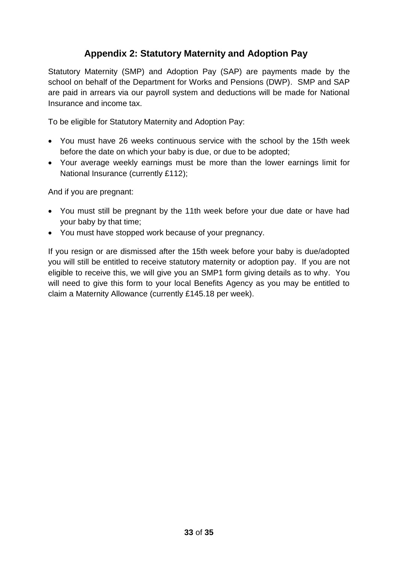## **Appendix 2: Statutory Maternity and Adoption Pay**

Statutory Maternity (SMP) and Adoption Pay (SAP) are payments made by the school on behalf of the Department for Works and Pensions (DWP). SMP and SAP are paid in arrears via our payroll system and deductions will be made for National Insurance and income tax.

To be eligible for Statutory Maternity and Adoption Pay:

- You must have 26 weeks continuous service with the school by the 15th week before the date on which your baby is due, or due to be adopted;
- Your average weekly earnings must be more than the lower earnings limit for National Insurance (currently £112);

And if you are pregnant:

- You must still be pregnant by the 11th week before your due date or have had your baby by that time;
- You must have stopped work because of your pregnancy.

If you resign or are dismissed after the 15th week before your baby is due/adopted you will still be entitled to receive statutory maternity or adoption pay. If you are not eligible to receive this, we will give you an SMP1 form giving details as to why. You will need to give this form to your local Benefits Agency as you may be entitled to claim a Maternity Allowance (currently £145.18 per week).